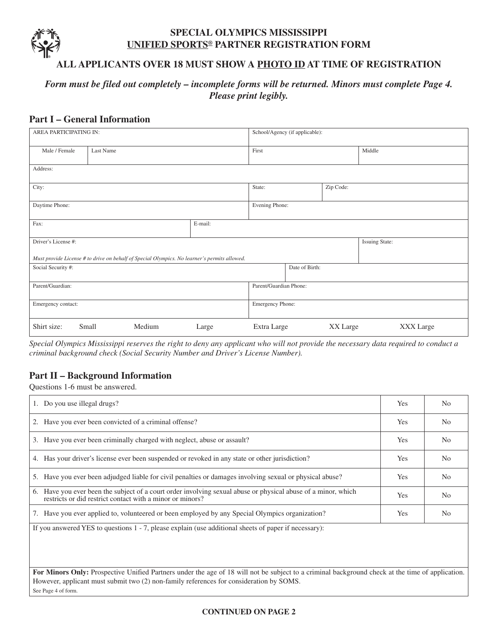#### **SPECIAL OLYMPICS MISSISSIPPI UNIFIED SPORTS® PARTNER REGISTRATION FORM**

### **ALL APPLICANTS OVER 18 MUST SHOW A PHOTO ID AT TIME OF REGISTRATION**

## *Form must be filed out completely – incomplete forms will be returned. Minors must complete Page 4. Please print legibly.*

#### **Part I – General Information**

| AREA PARTICIPATING IN: |           |        | School/Agency (if applicable):                                                               |                        |                |          |                       |
|------------------------|-----------|--------|----------------------------------------------------------------------------------------------|------------------------|----------------|----------|-----------------------|
| Male / Female          | Last Name |        |                                                                                              | First                  |                |          | Middle                |
| Address:               |           |        |                                                                                              |                        |                |          |                       |
| City:                  |           |        | State:                                                                                       |                        | Zip Code:      |          |                       |
| Daytime Phone:         |           |        |                                                                                              | Evening Phone:         |                |          |                       |
| Fax:                   |           |        | E-mail:                                                                                      |                        |                |          |                       |
| Driver's License #:    |           |        |                                                                                              |                        |                |          | <b>Issuing State:</b> |
|                        |           |        | Must provide License # to drive on behalf of Special Olympics. No learner's permits allowed. |                        |                |          |                       |
| Social Security #:     |           |        |                                                                                              |                        | Date of Birth: |          |                       |
| Parent/Guardian:       |           |        |                                                                                              | Parent/Guardian Phone: |                |          |                       |
| Emergency contact:     |           |        |                                                                                              | Emergency Phone:       |                |          |                       |
| Shirt size:            | Small     | Medium | Large                                                                                        | Extra Large            |                | XX Large | XXX Large             |

Special Olympics Mississippi reserves the right to deny any applicant who will not provide the necessary data required to conduct a *criminal background check (Social Security Number and Driver's License Number).*

#### **Part II – Background Information**

Questions 1-6 must be answered.

| 1. Do you use illegal drugs?                                                                                                                                                  | <b>Yes</b> | N <sub>0</sub> |
|-------------------------------------------------------------------------------------------------------------------------------------------------------------------------------|------------|----------------|
| 2. Have you ever been convicted of a criminal offense?                                                                                                                        | Yes        | N <sub>0</sub> |
| Have you ever been criminally charged with neglect, abuse or assault?<br>3.                                                                                                   | <b>Yes</b> | N <sub>0</sub> |
| 4. Has your driver's license ever been suspended or revoked in any state or other jurisdiction?                                                                               | <b>Yes</b> | N <sub>0</sub> |
| 5. Have you ever been adjudged liable for civil penalties or damages involving sexual or physical abuse?                                                                      | <b>Yes</b> | N <sub>0</sub> |
| Have you ever been the subject of a court order involving sexual abuse or physical abuse of a minor, which<br>6.<br>restricts or did restrict contact with a minor or minors? | <b>Yes</b> | N <sub>0</sub> |
| Have you ever applied to, volunteered or been employed by any Special Olympics organization?<br>7.                                                                            | Yes        | N <sub>0</sub> |
| If you answered YES to questions 1 - 7, please explain (use additional sheets of paper if necessary):                                                                         |            |                |

**For Minors Only:** Prospective Unified Partners under the age of 18 will not be subject to a criminal background check at the time of application. However, applicant must submit two (2) non-family references for consideration by SOMS. See Page 4 of form.

#### **CONTINUED ON PAGE 2**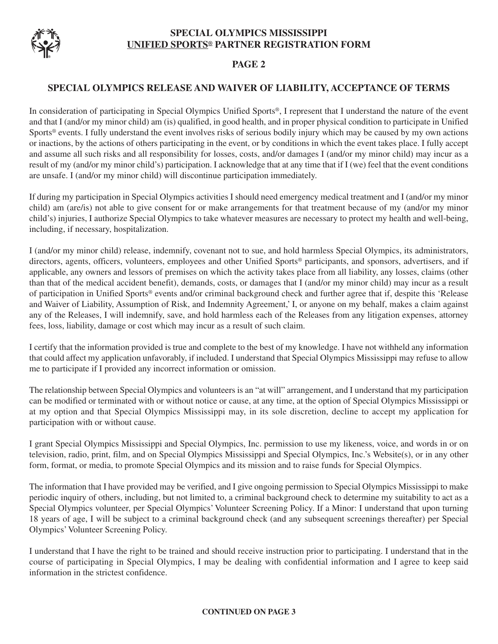

### **PAGE 2**

#### **SPECIAL OLYMPICS RELEASE AND WAIVER OF LIABILITY, ACCEPTANCE OF TERMS**

In consideration of participating in Special Olympics Unified Sports®, I represent that I understand the nature of the event and that I (and/or my minor child) am (is) qualified, in good health, and in proper physical condition to participate in Unified Sports® events. I fully understand the event involves risks of serious bodily injury which may be caused by my own actions or inactions, by the actions of others participating in the event, or by conditions in which the event takes place. I fully accept and assume all such risks and all responsibility for losses, costs, and/or damages I (and/or my minor child) may incur as a result of my (and/or my minor child's) participation. I acknowledge that at any time that if I (we) feel that the event conditions are unsafe. I (and/or my minor child) will discontinue participation immediately.

If during my participation in Special Olympics activities I should need emergency medical treatment and I (and/or my minor child) am (are/is) not able to give consent for or make arrangements for that treatment because of my (and/or my minor child's) injuries, I authorize Special Olympics to take whatever measures are necessary to protect my health and well-being, including, if necessary, hospitalization.

I (and/or my minor child) release, indemnify, covenant not to sue, and hold harmless Special Olympics, its administrators, directors, agents, officers, volunteers, employees and other Unified Sports® participants, and sponsors, advertisers, and if applicable, any owners and lessors of premises on which the activity takes place from all liability, any losses, claims (other than that of the medical accident benefit), demands, costs, or damages that I (and/or my minor child) may incur as a result of participation in Unified Sports® events and/or criminal background check and further agree that if, despite this 'Release and Waiver of Liability, Assumption of Risk, and Indemnity Agreement,' I, or anyone on my behalf, makes a claim against any of the Releases, I will indemnify, save, and hold harmless each of the Releases from any litigation expenses, attorney fees, loss, liability, damage or cost which may incur as a result of such claim.

I certify that the information provided is true and complete to the best of my knowledge. I have not withheld any information that could affect my application unfavorably, if included. I understand that Special Olympics Mississippi may refuse to allow me to participate if I provided any incorrect information or omission.

The relationship between Special Olympics and volunteers is an "at will" arrangement, and I understand that my participation can be modified or terminated with or without notice or cause, at any time, at the option of Special Olympics Mississippi or at my option and that Special Olympics Mississippi may, in its sole discretion, decline to accept my application for participation with or without cause.

I grant Special Olympics Mississippi and Special Olympics, Inc. permission to use my likeness, voice, and words in or on television, radio, print, film, and on Special Olympics Mississippi and Special Olympics, Inc.'s Website(s), or in any other form, format, or media, to promote Special Olympics and its mission and to raise funds for Special Olympics.

The information that I have provided may be verified, and I give ongoing permission to Special Olympics Mississippi to make periodic inquiry of others, including, but not limited to, a criminal background check to determine my suitability to act as a Special Olympics volunteer, per Special Olympics' Volunteer Screening Policy. If a Minor: I understand that upon turning 18 years of age, I will be subject to a criminal background check (and any subsequent screenings thereafter) per Special Olympics'Volunteer Screening Policy.

I understand that I have the right to be trained and should receive instruction prior to participating. I understand that in the course of participating in Special Olympics, I may be dealing with confidential information and I agree to keep said information in the strictest confidence.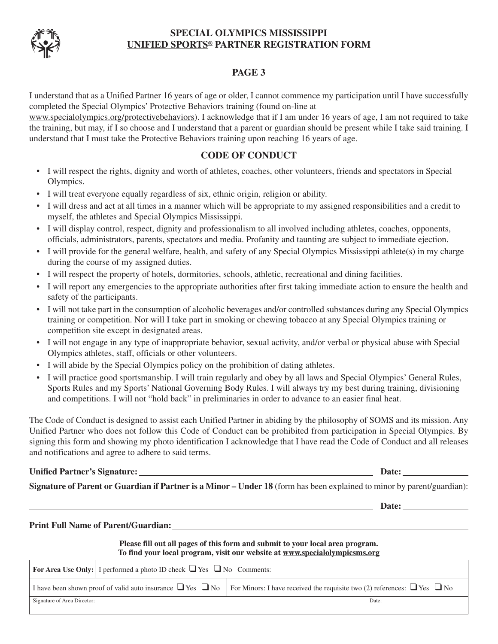# **SPECIAL OLYMPICS MISSISSIPPI UNIFIED SPORTS® PARTNER REGISTRATION FORM**



I understand that as a Unified Partner 16 years of age or older, I cannot commence my participation until I have successfully completed the Special Olympics' Protective Behaviors training (found on-line at

www.specialolympics.org/protectivebehaviors). I acknowledge that if I am under 16 years of age, I am not required to take the training, but may, if I so choose and I understand that a parent or guardian should be present while I take said training. I understand that I must take the Protective Behaviors training upon reaching 16 years of age.

#### **CODE OF CONDUCT**

- I will respect the rights, dignity and worth of athletes, coaches, other volunteers, friends and spectators in Special Olympics.
- I will treat everyone equally regardless of six, ethnic origin, religion or ability.
- I will dress and act at all times in a manner which will be appropriate to my assigned responsibilities and a credit to myself, the athletes and Special Olympics Mississippi.
- I will display control, respect, dignity and professionalism to all involved including athletes, coaches, opponents, officials, administrators, parents, spectators and media. Profanity and taunting are subject to immediate ejection.
- I will provide for the general welfare, health, and safety of any Special Olympics Mississippi athlete(s) in my charge during the course of my assigned duties.
- I will respect the property of hotels, dormitories, schools, athletic, recreational and dining facilities.
- I will report any emergencies to the appropriate authorities after first taking immediate action to ensure the health and safety of the participants.
- I will not take part in the consumption of alcoholic beverages and/or controlled substances during any Special Olympics training or competition. Nor will I take part in smoking or chewing tobacco at any Special Olympics training or competition site except in designated areas.
- I will not engage in any type of inappropriate behavior, sexual activity, and/or verbal or physical abuse with Special Olympics athletes, staff, officials or other volunteers.
- I will abide by the Special Olympics policy on the prohibition of dating athletes.
- I will practice good sportsmanship. I will train regularly and obey by all laws and Special Olympics' General Rules, Sports Rules and my Sports' National Governing Body Rules. I will always try my best during training, divisioning and competitions. I will not "hold back" in preliminaries in order to advance to an easier final heat.

The Code of Conduct is designed to assist each Unified Partner in abiding by the philosophy of SOMS and its mission. Any Unified Partner who does not follow this Code of Conduct can be prohibited from participation in Special Olympics. By signing this form and showing my photo identification I acknowledge that I have read the Code of Conduct and all releases and notifications and agree to adhere to said terms.

#### **Unified Partner's Signature: Date:**

**Signature of Parent or Guardian if Partner is a Minor – Under 18** (form has been explained to minor by parent/guardian):

**Date:** Date:

#### **Print Full Name of Parent/Guardian:**

#### **Please fill out all pages of this form and submit to your local area program. To find your local program, visit our website at www.specialolympicsms.org**

| <b>For Area Use Only:</b> I performed a photo ID check $\Box$ Yes $\Box$ No Comments: |                                                                                                                                                         |       |  |  |  |
|---------------------------------------------------------------------------------------|---------------------------------------------------------------------------------------------------------------------------------------------------------|-------|--|--|--|
|                                                                                       | I have been shown proof of valid auto insurance $\Box$ Yes $\Box$ No For Minors: I have received the requisite two (2) references: $\Box$ Yes $\Box$ No |       |  |  |  |
| Signature of Area Director:                                                           |                                                                                                                                                         | Date: |  |  |  |